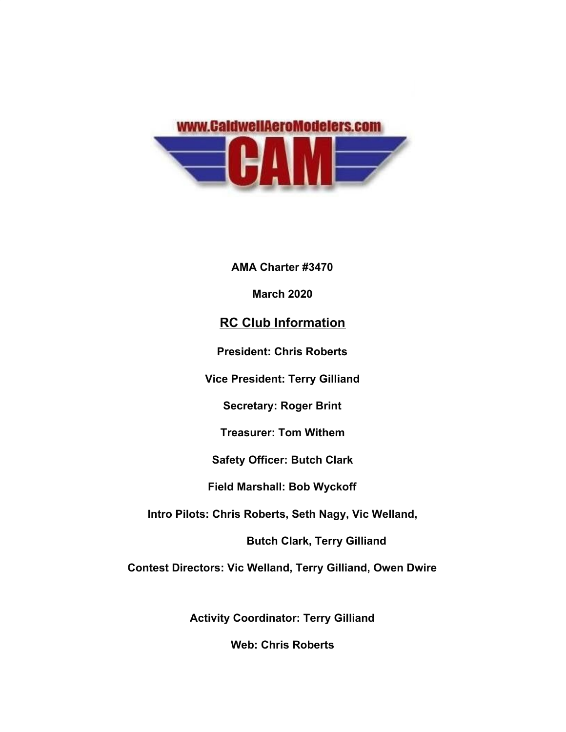

**AMA Charter #3470**

**March 2020**

## **RC Club Information**

**President: Chris Roberts**

**Vice President: Terry Gilliand**

**Secretary: Roger Brint**

**Treasurer: Tom Withem**

**Safety Officer: Butch Clark**

**Field Marshall: Bob Wyckoff**

**Intro Pilots: Chris Roberts, Seth Nagy, Vic Welland,**

**Butch Clark, Terry Gilliand** 

**Contest Directors: Vic Welland, Terry Gilliand, Owen Dwire**

**Activity Coordinator: Terry Gilliand**

**Web: Chris Roberts**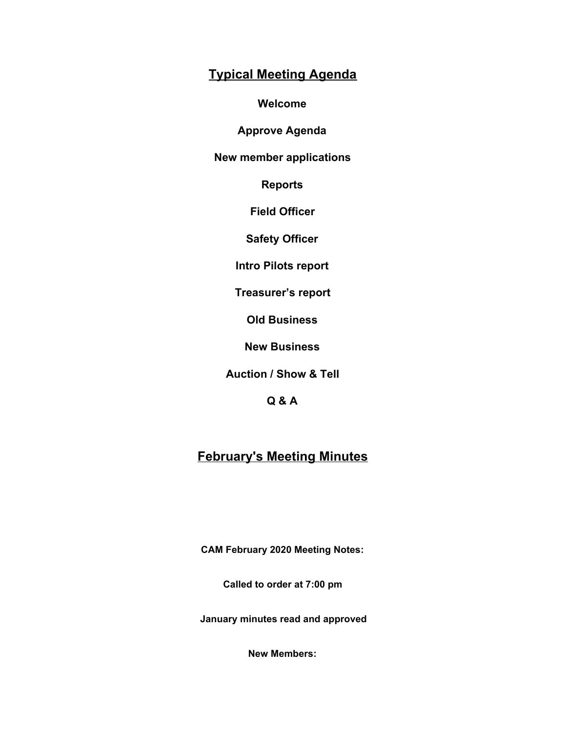## **Typical Meeting Agenda**

**Welcome**

**Approve Agenda**

**New member applications**

**Reports**

**Field Officer**

**Safety Officer**

**Intro Pilots report**

**Treasurer's report**

**Old Business**

**New Business**

**Auction / Show & Tell**

**Q & A**

# **February's Meeting Minutes**

**CAM February 2020 Meeting Notes:**

**Called to order at 7:00 pm**

 **January minutes read and approved**

**New Members:**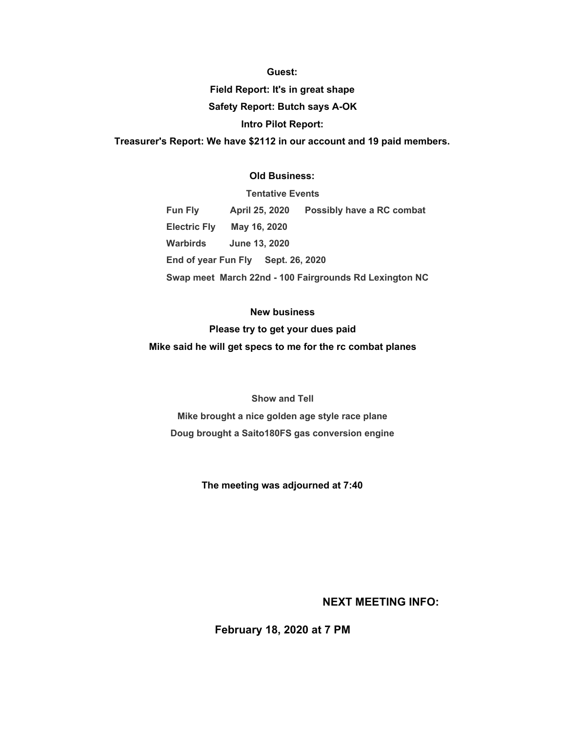#### **Guest:**

**Field Report: It's in great shape Safety Report: Butch says A-OK Intro Pilot Report:**

**Treasurer's Report: We have \$2112 in our account and 19 paid members.**

#### **Old Business:**

**Tentative Events Fun Fly April 25, 2020 Possibly have a RC combat Electric Fly May 16, 2020 Warbirds June 13, 2020 End of year Fun Fly Sept. 26, 2020 Swap meet March 22nd - 100 Fairgrounds Rd Lexington NC**

#### **New business**

**Please try to get your dues paid**

**Mike said he will get specs to me for the rc combat planes**

#### **Show and Tell**

**Mike brought a nice golden age style race plane Doug brought a Saito180FS gas conversion engine**

**The meeting was adjourned at 7:40**

### **NEXT MEETING INFO:**

**February 18, 2020 at 7 PM**